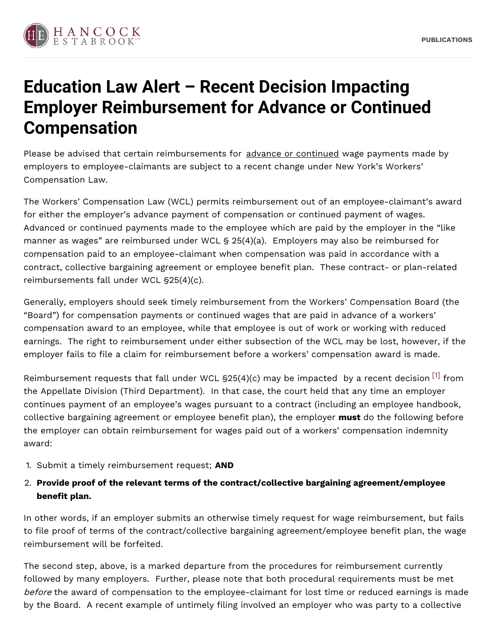

## **Education Law Alert – Recent Decision Impacting Employer Reimbursement for Advance or Continued Compensation**

Please be advised that certain reimbursements for advance or continued wage payments made by employers to employee-claimants are subject to a recent change under New York's Workers' Compensation Law.

The Workers' Compensation Law (WCL) permits reimbursement out of an employee-claimant's award for either the employer's advance payment of compensation or continued payment of wages. Advanced or continued payments made to the employee which are paid by the employer in the "like manner as wages" are reimbursed under WCL § 25(4)(a). Employers may also be reimbursed for compensation paid to an employee-claimant when compensation was paid in accordance with a contract, collective bargaining agreement or employee benefit plan. These contract- or plan-related reimbursements fall under WCL §25(4)(c).

Generally, employers should seek timely reimbursement from the Workers' Compensation Board (the "Board") for compensation payments or continued wages that are paid in advance of a workers' compensation award to an employee, while that employee is out of work or working with reduced earnings. The right to reimbursement under either subsection of the WCL may be lost, however, if the employer fails to file a claim for reimbursement before a workers' compensation award is made.

<span id="page-0-0"></span>Reimbursement requests that fall under WCL §25(4)(c) may be impacted  $\,$  by a recent decision  $^{[1]}$  $^{[1]}$  $^{[1]}$  from the Appellate Division (Third Department). In that case, the court held that any time an employer continues payment of an employee's wages pursuant to a contract (including an employee handbook, collective bargaining agreement or employee benefit plan), the employer **must** do the following before the employer can obtain reimbursement for wages paid out of a workers' compensation indemnity award:

- 1. Submit a timely reimbursement request; **AND**
- 2. **Provide proof of the relevant terms of the contract/collective bargaining agreement/employee benefit plan.**

In other words, if an employer submits an otherwise timely request for wage reimbursement, but fails to file proof of terms of the contract/collective bargaining agreement/employee benefit plan, the wage reimbursement will be forfeited.

The second step, above, is a marked departure from the procedures for reimbursement currently followed by many employers. Further, please note that both procedural requirements must be met before the award of compensation to the employee-claimant for lost time or reduced earnings is made by the Board. A recent example of untimely filing involved an employer who was party to a collective